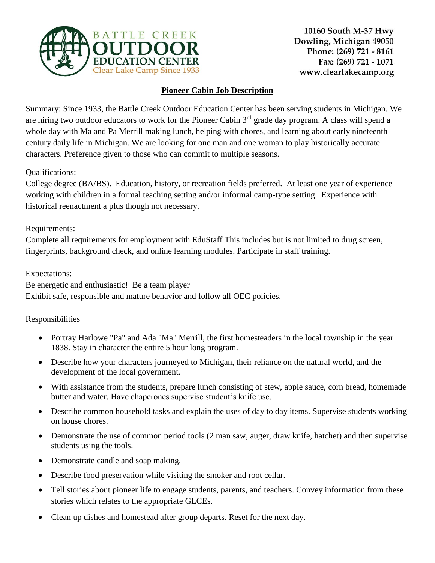

## **Pioneer Cabin Job Description**

Summary: Since 1933, the Battle Creek Outdoor Education Center has been serving students in Michigan. We are hiring two outdoor educators to work for the Pioneer Cabin 3<sup>rd</sup> grade day program. A class will spend a whole day with Ma and Pa Merrill making lunch, helping with chores, and learning about early nineteenth century daily life in Michigan. We are looking for one man and one woman to play historically accurate characters. Preference given to those who can commit to multiple seasons.

Qualifications:

College degree (BA/BS). Education, history, or recreation fields preferred. At least one year of experience working with children in a formal teaching setting and/or informal camp-type setting. Experience with historical reenactment a plus though not necessary.

Requirements:

Complete all requirements for employment with EduStaff This includes but is not limited to drug screen, fingerprints, background check, and online learning modules. Participate in staff training.

Expectations: Be energetic and enthusiastic! Be a team player Exhibit safe, responsible and mature behavior and follow all OEC policies.

## Responsibilities

- Portray Harlowe "Pa" and Ada "Ma" Merrill, the first homesteaders in the local township in the year 1838. Stay in character the entire 5 hour long program.
- Describe how your characters journeyed to Michigan, their reliance on the natural world, and the development of the local government.
- With assistance from the students, prepare lunch consisting of stew, apple sauce, corn bread, homemade butter and water. Have chaperones supervise student's knife use.
- Describe common household tasks and explain the uses of day to day items. Supervise students working on house chores.
- Demonstrate the use of common period tools (2 man saw, auger, draw knife, hatchet) and then supervise students using the tools.
- Demonstrate candle and soap making.
- Describe food preservation while visiting the smoker and root cellar.
- Tell stories about pioneer life to engage students, parents, and teachers. Convey information from these stories which relates to the appropriate GLCEs.
- Clean up dishes and homestead after group departs. Reset for the next day.